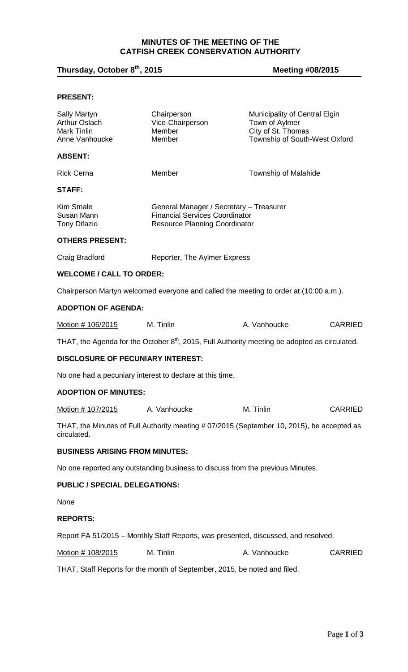## **MINUTES OF THE MEETING OF THE CATFISH CREEK CONSERVATION AUTHORITY**

# **Thursday, October 8th, 2015 Meeting #08/2015**

### **PRESENT:**

| Sally Martyn<br>Arthur Oslach<br>Mark Tinlin<br>Anne Vanhoucke                                            | Chairperson<br>Vice-Chairperson<br>Member<br>Member                                                                      | Municipality of Central Elgin<br>Town of Aylmer<br>City of St. Thomas<br>Township of South-West Oxford |                |  |  |
|-----------------------------------------------------------------------------------------------------------|--------------------------------------------------------------------------------------------------------------------------|--------------------------------------------------------------------------------------------------------|----------------|--|--|
| <b>ABSENT:</b>                                                                                            |                                                                                                                          |                                                                                                        |                |  |  |
| <b>Rick Cerna</b>                                                                                         | Member                                                                                                                   | Township of Malahide                                                                                   |                |  |  |
| STAFF:                                                                                                    |                                                                                                                          |                                                                                                        |                |  |  |
| Kim Smale<br>Susan Mann<br><b>Tony Difazio</b>                                                            | General Manager / Secretary - Treasurer<br><b>Financial Services Coordinator</b><br><b>Resource Planning Coordinator</b> |                                                                                                        |                |  |  |
| <b>OTHERS PRESENT:</b>                                                                                    |                                                                                                                          |                                                                                                        |                |  |  |
| Craig Bradford                                                                                            | Reporter, The Aylmer Express                                                                                             |                                                                                                        |                |  |  |
| <b>WELCOME / CALL TO ORDER:</b>                                                                           |                                                                                                                          |                                                                                                        |                |  |  |
|                                                                                                           | Chairperson Martyn welcomed everyone and called the meeting to order at (10:00 a.m.).                                    |                                                                                                        |                |  |  |
| <b>ADOPTION OF AGENDA:</b>                                                                                |                                                                                                                          |                                                                                                        |                |  |  |
| Motion # 106/2015                                                                                         | M. Tinlin                                                                                                                | A. Vanhoucke                                                                                           | <b>CARRIED</b> |  |  |
|                                                                                                           | THAT, the Agenda for the October $8th$ , 2015, Full Authority meeting be adopted as circulated.                          |                                                                                                        |                |  |  |
| DISCLOSURE OF PECUNIARY INTEREST:                                                                         |                                                                                                                          |                                                                                                        |                |  |  |
| No one had a pecuniary interest to declare at this time.                                                  |                                                                                                                          |                                                                                                        |                |  |  |
| <b>ADOPTION OF MINUTES:</b>                                                                               |                                                                                                                          |                                                                                                        |                |  |  |
| Motion # 107/2015                                                                                         | A. Vanhoucke                                                                                                             | M. Tinlin                                                                                              | <b>CARRIED</b> |  |  |
| THAT, the Minutes of Full Authority meeting # 07/2015 (September 10, 2015), be accepted as<br>circulated. |                                                                                                                          |                                                                                                        |                |  |  |
| <b>BUSINESS ARISING FROM MINUTES:</b>                                                                     |                                                                                                                          |                                                                                                        |                |  |  |
| No one reported any outstanding business to discuss from the previous Minutes.                            |                                                                                                                          |                                                                                                        |                |  |  |
| <b>PUBLIC / SPECIAL DELEGATIONS:</b>                                                                      |                                                                                                                          |                                                                                                        |                |  |  |
| None                                                                                                      |                                                                                                                          |                                                                                                        |                |  |  |
| <b>REPORTS:</b>                                                                                           |                                                                                                                          |                                                                                                        |                |  |  |
| Report FA 51/2015 - Monthly Staff Reports, was presented, discussed, and resolved.                        |                                                                                                                          |                                                                                                        |                |  |  |
| <u>Motion # 108/2015</u>                                                                                  | M. Tinlin                                                                                                                | A. Vanhoucke                                                                                           | <b>CARRIED</b> |  |  |
| THAT, Staff Reports for the month of September, 2015, be noted and filed.                                 |                                                                                                                          |                                                                                                        |                |  |  |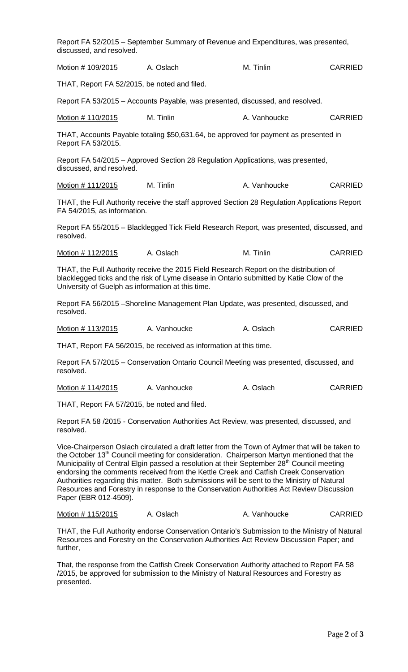| discussed, and resolved.                          | Report FA 52/2015 - September Summary of Revenue and Expenditures, was presented,                                                                                                  |              |                |
|---------------------------------------------------|------------------------------------------------------------------------------------------------------------------------------------------------------------------------------------|--------------|----------------|
| Motion # 109/2015                                 | A. Oslach                                                                                                                                                                          | M. Tinlin    | <b>CARRIED</b> |
| THAT, Report FA 52/2015, be noted and filed.      |                                                                                                                                                                                    |              |                |
|                                                   | Report FA 53/2015 – Accounts Payable, was presented, discussed, and resolved.                                                                                                      |              |                |
| Motion # 110/2015                                 | M. Tinlin                                                                                                                                                                          | A. Vanhoucke | <b>CARRIED</b> |
| Report FA 53/2015.                                | THAT, Accounts Payable totaling \$50,631.64, be approved for payment as presented in                                                                                               |              |                |
| discussed, and resolved.                          | Report FA 54/2015 - Approved Section 28 Regulation Applications, was presented,                                                                                                    |              |                |
| Motion # 111/2015                                 | M. Tinlin                                                                                                                                                                          | A. Vanhoucke | <b>CARRIED</b> |
| FA 54/2015, as information.                       | THAT, the Full Authority receive the staff approved Section 28 Regulation Applications Report                                                                                      |              |                |
| resolved.                                         | Report FA 55/2015 - Blacklegged Tick Field Research Report, was presented, discussed, and                                                                                          |              |                |
| Motion # 112/2015                                 | A. Oslach                                                                                                                                                                          | M. Tinlin    | <b>CARRIED</b> |
| University of Guelph as information at this time. | THAT, the Full Authority receive the 2015 Field Research Report on the distribution of<br>blacklegged ticks and the risk of Lyme disease in Ontario submitted by Katie Clow of the |              |                |
| resolved.                                         | Report FA 56/2015 - Shoreline Management Plan Update, was presented, discussed, and                                                                                                |              |                |
| Motion # 113/2015                                 | A. Vanhoucke                                                                                                                                                                       | A. Oslach    | <b>CARRIED</b> |
|                                                   | THAT, Report FA 56/2015, be received as information at this time.                                                                                                                  |              |                |
| resolved.                                         | Report FA 57/2015 - Conservation Ontario Council Meeting was presented, discussed, and                                                                                             |              |                |
| <u>Motion # 114/2015</u>                          | A. Vanhoucke                                                                                                                                                                       | A. Oslach    | <b>CARRIED</b> |
| THAT, Report FA 57/2015, be noted and filed.      |                                                                                                                                                                                    |              |                |
| resolved.                                         | Report FA 58 /2015 - Conservation Authorities Act Review, was presented, discussed, and                                                                                            |              |                |
|                                                   | Vice Choirperson Oclock size ulated a droft letter from the Town of Automorphet will be taken to                                                                                   |              |                |

Vice-Chairperson Oslach circulated a draft letter from the Town of Aylmer that will be taken to the October 13<sup>th</sup> Council meeting for consideration. Chairperson Martyn mentioned that the Municipality of Central Elgin passed a resolution at their September  $28<sup>th</sup>$  Council meeting endorsing the comments received from the Kettle Creek and Catfish Creek Conservation Authorities regarding this matter. Both submissions will be sent to the Ministry of Natural Resources and Forestry in response to the Conservation Authorities Act Review Discussion Paper (EBR 012-4509).

| Motion # 115/2015 | A. Oslach | A. Vanhoucke | <b>CARRIED</b> |
|-------------------|-----------|--------------|----------------|
|-------------------|-----------|--------------|----------------|

THAT, the Full Authority endorse Conservation Ontario's Submission to the Ministry of Natural Resources and Forestry on the Conservation Authorities Act Review Discussion Paper; and further,

That, the response from the Catfish Creek Conservation Authority attached to Report FA 58 /2015, be approved for submission to the Ministry of Natural Resources and Forestry as presented.